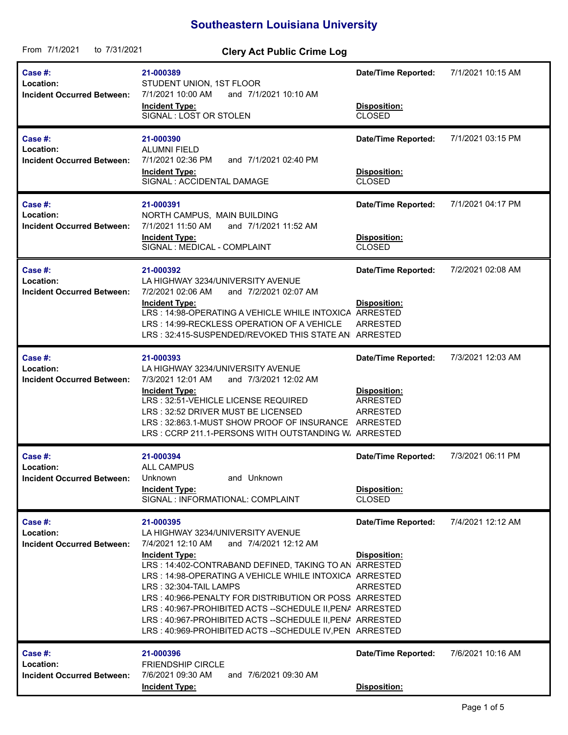## **Southeastern Louisiana University**

| From 7/1/2021<br>to 7/31/2021                             | <b>Clery Act Public Crime Log</b>                                                                                                                                                                                                                                                                                                                                                                                                                                                                                 |                                                                                                     |                   |
|-----------------------------------------------------------|-------------------------------------------------------------------------------------------------------------------------------------------------------------------------------------------------------------------------------------------------------------------------------------------------------------------------------------------------------------------------------------------------------------------------------------------------------------------------------------------------------------------|-----------------------------------------------------------------------------------------------------|-------------------|
| Case #:<br>Location:<br><b>Incident Occurred Between:</b> | 21-000389<br>STUDENT UNION, 1ST FLOOR<br>7/1/2021 10:00 AM<br>and 7/1/2021 10:10 AM<br><b>Incident Type:</b><br>SIGNAL : LOST OR STOLEN                                                                                                                                                                                                                                                                                                                                                                           | <b>Date/Time Reported:</b><br>Disposition:<br><b>CLOSED</b>                                         | 7/1/2021 10:15 AM |
| Case #:<br>Location:<br><b>Incident Occurred Between:</b> | 21-000390<br><b>ALUMNI FIELD</b><br>7/1/2021 02:36 PM<br>and 7/1/2021 02:40 PM<br><b>Incident Type:</b><br>SIGNAL : ACCIDENTAL DAMAGE                                                                                                                                                                                                                                                                                                                                                                             | <b>Date/Time Reported:</b><br>Disposition:<br>CLOSED                                                | 7/1/2021 03:15 PM |
| Case #:<br>Location:<br><b>Incident Occurred Between:</b> | 21-000391<br>NORTH CAMPUS, MAIN BUILDING<br>and 7/1/2021 11:52 AM<br>7/1/2021 11:50 AM<br><b>Incident Type:</b><br>SIGNAL : MEDICAL - COMPLAINT                                                                                                                                                                                                                                                                                                                                                                   | <b>Date/Time Reported:</b><br>Disposition:<br><b>CLOSED</b>                                         | 7/1/2021 04:17 PM |
| Case #:<br>Location:<br><b>Incident Occurred Between:</b> | 21-000392<br>LA HIGHWAY 3234/UNIVERSITY AVENUE<br>7/2/2021 02:06 AM<br>and 7/2/2021 02:07 AM<br><b>Incident Type:</b><br>LRS: 14:98-OPERATING A VEHICLE WHILE INTOXICA<br>LRS: 14:99-RECKLESS OPERATION OF A VEHICLE<br>LRS: 32:415-SUSPENDED/REVOKED THIS STATE AN ARRESTED                                                                                                                                                                                                                                      | <b>Date/Time Reported:</b><br>Disposition:<br><b>ARRESTED</b><br><b>ARRESTED</b>                    | 7/2/2021 02:08 AM |
| Case #:<br>Location:<br><b>Incident Occurred Between:</b> | 21-000393<br>LA HIGHWAY 3234/UNIVERSITY AVENUE<br>7/3/2021 12:01 AM<br>and 7/3/2021 12:02 AM<br><b>Incident Type:</b><br>LRS: 32:51-VEHICLE LICENSE REQUIRED<br>LRS: 32:52 DRIVER MUST BE LICENSED<br>LRS: 32:863.1-MUST SHOW PROOF OF INSURANCE<br>LRS: CCRP 211.1-PERSONS WITH OUTSTANDING W. ARRESTED                                                                                                                                                                                                          | <b>Date/Time Reported:</b><br>Disposition:<br><b>ARRESTED</b><br><b>ARRESTED</b><br><b>ARRESTED</b> | 7/3/2021 12:03 AM |
| Case #:<br>Location:<br><b>Incident Occurred Between:</b> | 21-000394<br>ALL CAMPUS<br>Unknown<br>and Unknown<br><b>Incident Type:</b><br>SIGNAL : INFORMATIONAL: COMPLAINT                                                                                                                                                                                                                                                                                                                                                                                                   | <b>Date/Time Reported:</b><br>Disposition:<br><b>CLOSED</b>                                         | 7/3/2021 06:11 PM |
| Case #:<br>Location:<br><b>Incident Occurred Between:</b> | 21-000395<br>LA HIGHWAY 3234/UNIVERSITY AVENUE<br>7/4/2021 12:10 AM<br>and 7/4/2021 12:12 AM<br><b>Incident Type:</b><br>LRS: 14:402-CONTRABAND DEFINED, TAKING TO AN ARRESTED<br>LRS: 14:98-OPERATING A VEHICLE WHILE INTOXICA ARRESTED<br>LRS: 32:304-TAIL LAMPS<br>LRS: 40:966-PENALTY FOR DISTRIBUTION OR POSS ARRESTED<br>LRS: 40:967-PROHIBITED ACTS -- SCHEDULE II, PENA ARRESTED<br>LRS: 40:967-PROHIBITED ACTS -- SCHEDULE II, PENA ARRESTED<br>LRS: 40:969-PROHIBITED ACTS -- SCHEDULE IV, PEN ARRESTED | <b>Date/Time Reported:</b><br>Disposition:<br>ARRESTED                                              | 7/4/2021 12:12 AM |
| Case #:<br>Location:<br><b>Incident Occurred Between:</b> | 21-000396<br><b>FRIENDSHIP CIRCLE</b><br>7/6/2021 09:30 AM<br>and 7/6/2021 09:30 AM<br><b>Incident Type:</b>                                                                                                                                                                                                                                                                                                                                                                                                      | <b>Date/Time Reported:</b><br>Disposition:                                                          | 7/6/2021 10:16 AM |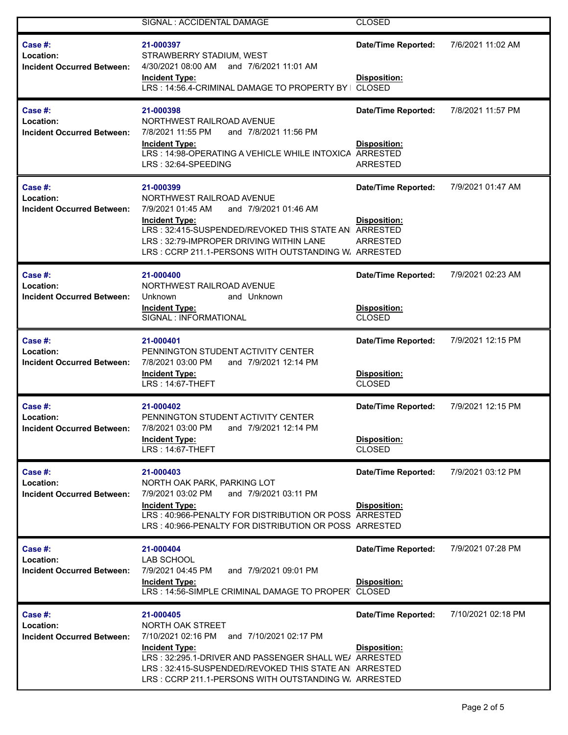|                                                           | SIGNAL : ACCIDENTAL DAMAGE                                                                                                                                                                                                                                                      | <b>CLOSED</b>                                                             |                    |
|-----------------------------------------------------------|---------------------------------------------------------------------------------------------------------------------------------------------------------------------------------------------------------------------------------------------------------------------------------|---------------------------------------------------------------------------|--------------------|
| Case #:<br>Location:<br><b>Incident Occurred Between:</b> | 21-000397<br>STRAWBERRY STADIUM, WEST<br>4/30/2021 08:00 AM<br>and 7/6/2021 11:01 AM<br><b>Incident Type:</b><br>LRS: 14:56.4-CRIMINAL DAMAGE TO PROPERTY BY                                                                                                                    | Date/Time Reported:<br>Disposition:<br><b>CLOSED</b>                      | 7/6/2021 11:02 AM  |
| Case #:<br>Location:<br>Incident Occurred Between:        | 21-000398<br>NORTHWEST RAILROAD AVENUE<br>and 7/8/2021 11:56 PM<br>7/8/2021 11:55 PM<br><b>Incident Type:</b><br>LRS: 14:98-OPERATING A VEHICLE WHILE INTOXICA<br>LRS: 32:64-SPEEDING                                                                                           | <b>Date/Time Reported:</b><br>Disposition:<br>ARRESTED<br>ARRESTED        | 7/8/2021 11:57 PM  |
| Case #:<br>Location:<br><b>Incident Occurred Between:</b> | 21-000399<br>NORTHWEST RAILROAD AVENUE<br>and 7/9/2021 01:46 AM<br>7/9/2021 01:45 AM<br><b>Incident Type:</b><br>LRS: 32:415-SUSPENDED/REVOKED THIS STATE AN<br>LRS: 32:79-IMPROPER DRIVING WITHIN LANE<br>LRS: CCRP 211.1-PERSONS WITH OUTSTANDING W. ARRESTED                 | <b>Date/Time Reported:</b><br>Disposition:<br><b>ARRESTED</b><br>ARRESTED | 7/9/2021 01:47 AM  |
| Case #:<br>Location:<br><b>Incident Occurred Between:</b> | 21-000400<br>NORTHWEST RAILROAD AVENUE<br>Unknown<br>and Unknown<br><b>Incident Type:</b><br>SIGNAL : INFORMATIONAL                                                                                                                                                             | <b>Date/Time Reported:</b><br>Disposition:<br><b>CLOSED</b>               | 7/9/2021 02:23 AM  |
| Case #:<br>Location:<br><b>Incident Occurred Between:</b> | 21-000401<br>PENNINGTON STUDENT ACTIVITY CENTER<br>7/8/2021 03:00 PM<br>and 7/9/2021 12:14 PM<br><b>Incident Type:</b><br>LRS: 14:67-THEFT                                                                                                                                      | <b>Date/Time Reported:</b><br>Disposition:<br><b>CLOSED</b>               | 7/9/2021 12:15 PM  |
| Case #:<br>Location:<br>Incident Occurred Between:        | 21-000402<br>PENNINGTON STUDENT ACTIVITY CENTER<br>7/8/2021 03:00 PM<br>and 7/9/2021 12:14 PM<br><b>Incident Type:</b><br>LRS: 14:67-THEFT                                                                                                                                      | <b>Date/Time Reported:</b><br>Disposition:<br><b>CLOSED</b>               | 7/9/2021 12:15 PM  |
| Case #:<br>Location:<br><b>Incident Occurred Between:</b> | 21-000403<br>NORTH OAK PARK, PARKING LOT<br>and 7/9/2021 03:11 PM<br>7/9/2021 03:02 PM<br><b>Incident Type:</b><br>LRS: 40:966-PENALTY FOR DISTRIBUTION OR POSS ARRESTED<br>LRS: 40:966-PENALTY FOR DISTRIBUTION OR POSS ARRESTED                                               | <b>Date/Time Reported:</b><br>Disposition:                                | 7/9/2021 03:12 PM  |
| Case #:<br>Location:<br><b>Incident Occurred Between:</b> | 21-000404<br>LAB SCHOOL<br>and 7/9/2021 09:01 PM<br>7/9/2021 04:45 PM<br><b>Incident Type:</b><br>LRS: 14:56-SIMPLE CRIMINAL DAMAGE TO PROPER                                                                                                                                   | <b>Date/Time Reported:</b><br><b>Disposition:</b><br><b>CLOSED</b>        | 7/9/2021 07:28 PM  |
| Case #:<br>Location:<br><b>Incident Occurred Between:</b> | 21-000405<br>NORTH OAK STREET<br>7/10/2021 02:16 PM<br>and 7/10/2021 02:17 PM<br><b>Incident Type:</b><br>LRS: 32:295.1-DRIVER AND PASSENGER SHALL WE/ ARRESTED<br>LRS: 32:415-SUSPENDED/REVOKED THIS STATE AN ARRESTED<br>LRS: CCRP 211.1-PERSONS WITH OUTSTANDING W. ARRESTED | <b>Date/Time Reported:</b><br><b>Disposition:</b>                         | 7/10/2021 02:18 PM |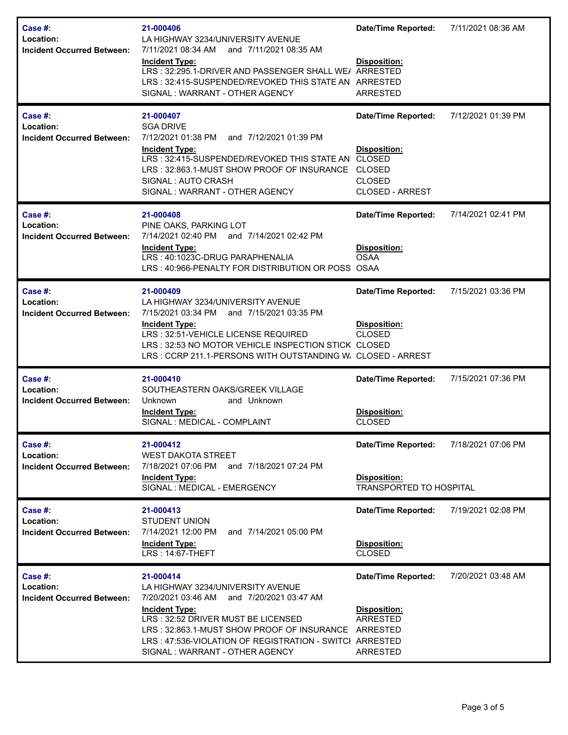| Case #:<br>Location:<br><b>Incident Occurred Between:</b> | 21-000406<br>LA HIGHWAY 3234/UNIVERSITY AVENUE<br>7/11/2021 08:34 AM<br>and 7/11/2021 08:35 AM<br><b>Incident Type:</b><br>LRS: 32:295.1-DRIVER AND PASSENGER SHALL WE/ ARRESTED<br>LRS: 32:415-SUSPENDED/REVOKED THIS STATE AN ARRESTED<br>SIGNAL: WARRANT - OTHER AGENCY                            | <b>Date/Time Reported:</b><br>Disposition:<br><b>ARRESTED</b>                                | 7/11/2021 08:36 AM |
|-----------------------------------------------------------|-------------------------------------------------------------------------------------------------------------------------------------------------------------------------------------------------------------------------------------------------------------------------------------------------------|----------------------------------------------------------------------------------------------|--------------------|
| Case #:<br>Location:<br>Incident Occurred Between:        | 21-000407<br><b>SGA DRIVE</b><br>7/12/2021 01:38 PM<br>and 7/12/2021 01:39 PM<br><b>Incident Type:</b><br>LRS: 32:415-SUSPENDED/REVOKED THIS STATE AN CLOSED<br>LRS: 32:863.1-MUST SHOW PROOF OF INSURANCE CLOSED<br>SIGNAL: AUTO CRASH<br>SIGNAL: WARRANT - OTHER AGENCY                             | <b>Date/Time Reported:</b><br>Disposition:<br><b>CLOSED</b><br><b>CLOSED - ARREST</b>        | 7/12/2021 01:39 PM |
| Case #:<br>Location:<br><b>Incident Occurred Between:</b> | 21-000408<br>PINE OAKS, PARKING LOT<br>7/14/2021 02:40 PM and 7/14/2021 02:42 PM<br><b>Incident Type:</b><br>LRS: 40:1023C-DRUG PARAPHENALIA<br>LRS: 40:966-PENALTY FOR DISTRIBUTION OR POSS OSAA                                                                                                     | <b>Date/Time Reported:</b><br>Disposition:<br><b>OSAA</b>                                    | 7/14/2021 02:41 PM |
| Case #:<br>Location:<br><b>Incident Occurred Between:</b> | 21-000409<br>LA HIGHWAY 3234/UNIVERSITY AVENUE<br>7/15/2021 03:34 PM and 7/15/2021 03:35 PM<br><b>Incident Type:</b><br>LRS: 32:51-VEHICLE LICENSE REQUIRED<br>LRS: 32:53 NO MOTOR VEHICLE INSPECTION STICK CLOSED<br>LRS: CCRP 211.1-PERSONS WITH OUTSTANDING W. CLOSED - ARREST                     | <b>Date/Time Reported:</b><br>Disposition:<br><b>CLOSED</b>                                  | 7/15/2021 03:36 PM |
| Case #:<br>Location:<br><b>Incident Occurred Between:</b> | 21-000410<br>SOUTHEASTERN OAKS/GREEK VILLAGE<br>Unknown<br>and Unknown<br><b>Incident Type:</b><br>SIGNAL : MEDICAL - COMPLAINT                                                                                                                                                                       | <b>Date/Time Reported:</b><br>Disposition:<br><b>CLOSED</b>                                  | 7/15/2021 07:36 PM |
| Case #:<br>Location:<br><b>Incident Occurred Between:</b> | 21-000412<br><b>WEST DAKOTA STREET</b><br>7/18/2021 07:06 PM<br>and 7/18/2021 07:24 PM<br><b>Incident Type:</b><br>SIGNAL : MEDICAL - EMERGENCY                                                                                                                                                       | <b>Date/Time Reported:</b><br>Disposition:<br>TRANSPORTED TO HOSPITAL                        | 7/18/2021 07:06 PM |
| Case #:<br>Location:<br><b>Incident Occurred Between:</b> | 21-000413<br><b>STUDENT UNION</b><br>7/14/2021 12:00 PM<br>and 7/14/2021 05:00 PM<br><b>Incident Type:</b><br>LRS: 14:67-THEFT                                                                                                                                                                        | <b>Date/Time Reported:</b><br>Disposition:<br><b>CLOSED</b>                                  | 7/19/2021 02:08 PM |
| Case #:<br>Location:<br><b>Incident Occurred Between:</b> | 21-000414<br>LA HIGHWAY 3234/UNIVERSITY AVENUE<br>7/20/2021 03:46 AM and 7/20/2021 03:47 AM<br><b>Incident Type:</b><br>LRS: 32:52 DRIVER MUST BE LICENSED<br>LRS: 32:863.1-MUST SHOW PROOF OF INSURANCE<br>LRS: 47:536-VIOLATION OF REGISTRATION - SWITCI ARRESTED<br>SIGNAL: WARRANT - OTHER AGENCY | <b>Date/Time Reported:</b><br>Disposition:<br><b>ARRESTED</b><br>ARRESTED<br><b>ARRESTED</b> | 7/20/2021 03:48 AM |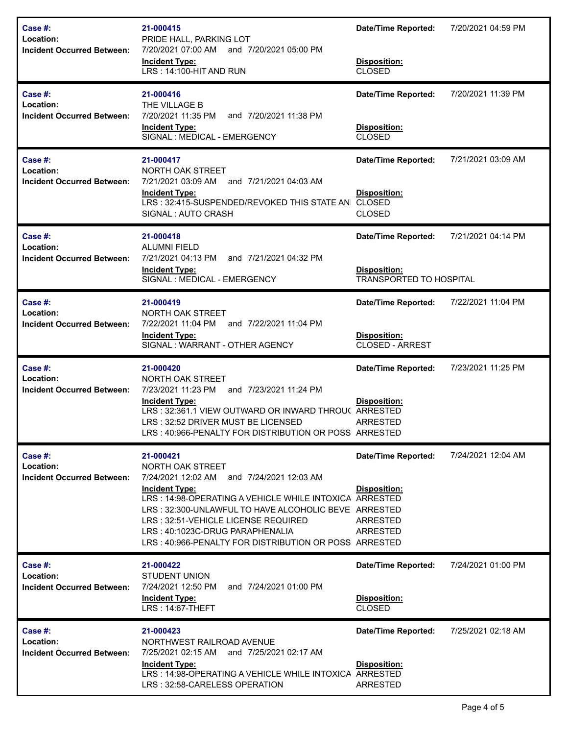| Case #:<br>Location:<br><b>Incident Occurred Between:</b> | 21-000415<br>PRIDE HALL, PARKING LOT<br>7/20/2021 07:00 AM and 7/20/2021 05:00 PM<br><b>Incident Type:</b><br>LRS: 14:100-HIT AND RUN                                                                                                                                                                                                                    | <b>Date/Time Reported:</b><br>Disposition:<br><b>CLOSED</b>                         | 7/20/2021 04:59 PM |
|-----------------------------------------------------------|----------------------------------------------------------------------------------------------------------------------------------------------------------------------------------------------------------------------------------------------------------------------------------------------------------------------------------------------------------|-------------------------------------------------------------------------------------|--------------------|
| Case #:<br>Location:<br><b>Incident Occurred Between:</b> | 21-000416<br>THE VILLAGE B<br>7/20/2021 11:35 PM<br>and 7/20/2021 11:38 PM<br><b>Incident Type:</b><br>SIGNAL : MEDICAL - EMERGENCY                                                                                                                                                                                                                      | <b>Date/Time Reported:</b><br>Disposition:<br><b>CLOSED</b>                         | 7/20/2021 11:39 PM |
| Case #:<br>Location:<br><b>Incident Occurred Between:</b> | 21-000417<br>NORTH OAK STREET<br>7/21/2021 03:09 AM<br>and 7/21/2021 04:03 AM<br><b>Incident Type:</b><br>LRS: 32:415-SUSPENDED/REVOKED THIS STATE AN CLOSED<br>SIGNAL: AUTO CRASH                                                                                                                                                                       | <b>Date/Time Reported:</b><br><b>Disposition:</b><br><b>CLOSED</b>                  | 7/21/2021 03:09 AM |
| Case #:<br>Location:<br><b>Incident Occurred Between:</b> | 21-000418<br><b>ALUMNI FIELD</b><br>7/21/2021 04:13 PM<br>and 7/21/2021 04:32 PM<br><b>Incident Type:</b><br>SIGNAL : MEDICAL - EMERGENCY                                                                                                                                                                                                                | <b>Date/Time Reported:</b><br><b>Disposition:</b><br><b>TRANSPORTED TO HOSPITAL</b> | 7/21/2021 04:14 PM |
| Case #:<br>Location:<br><b>Incident Occurred Between:</b> | 21-000419<br>NORTH OAK STREET<br>7/22/2021 11:04 PM<br>and 7/22/2021 11:04 PM<br><b>Incident Type:</b><br>SIGNAL: WARRANT - OTHER AGENCY                                                                                                                                                                                                                 | <b>Date/Time Reported:</b><br>Disposition:<br><b>CLOSED - ARREST</b>                | 7/22/2021 11:04 PM |
| Case #:<br>Location:<br><b>Incident Occurred Between:</b> | 21-000420<br>NORTH OAK STREET<br>7/23/2021 11:23 PM and 7/23/2021 11:24 PM<br>Incident Type:<br>LRS: 32:361.1 VIEW OUTWARD OR INWARD THROU( ARRESTED<br>LRS: 32:52 DRIVER MUST BE LICENSED<br>LRS : 40:966-PENALTY FOR DISTRIBUTION OR POSS ARRESTED.                                                                                                    | <b>Date/Time Reported:</b><br>Disposition:<br>ARRESTED                              | 7/23/2021 11:25 PM |
| Case #:<br>Location:<br><b>Incident Occurred Between:</b> | 21-000421<br>NORTH OAK STREET<br>7/24/2021 12:02 AM and 7/24/2021 12:03 AM<br><b>Incident Type:</b><br>LRS: 14:98-OPERATING A VEHICLE WHILE INTOXICA ARRESTED<br>LRS: 32:300-UNLAWFUL TO HAVE ALCOHOLIC BEVE ARRESTED<br>LRS: 32:51-VEHICLE LICENSE REQUIRED<br>LRS: 40:1023C-DRUG PARAPHENALIA<br>LRS: 40:966-PENALTY FOR DISTRIBUTION OR POSS ARRESTED | <b>Date/Time Reported:</b><br>Disposition:<br><b>ARRESTED</b><br><b>ARRESTED</b>    | 7/24/2021 12:04 AM |
| Case #:<br>Location:<br><b>Incident Occurred Between:</b> | 21-000422<br>STUDENT UNION<br>7/24/2021 12:50 PM<br>and 7/24/2021 01:00 PM<br><b>Incident Type:</b><br>LRS: 14:67-THEFT                                                                                                                                                                                                                                  | <b>Date/Time Reported:</b><br>Disposition:<br><b>CLOSED</b>                         | 7/24/2021 01:00 PM |
| Case #:<br>Location:<br><b>Incident Occurred Between:</b> | 21-000423<br>NORTHWEST RAILROAD AVENUE<br>7/25/2021 02:15 AM and 7/25/2021 02:17 AM<br><b>Incident Type:</b><br>LRS: 14:98-OPERATING A VEHICLE WHILE INTOXICA ARRESTED<br>LRS: 32:58-CARELESS OPERATION                                                                                                                                                  | <b>Date/Time Reported:</b><br>Disposition:<br>ARRESTED                              | 7/25/2021 02:18 AM |